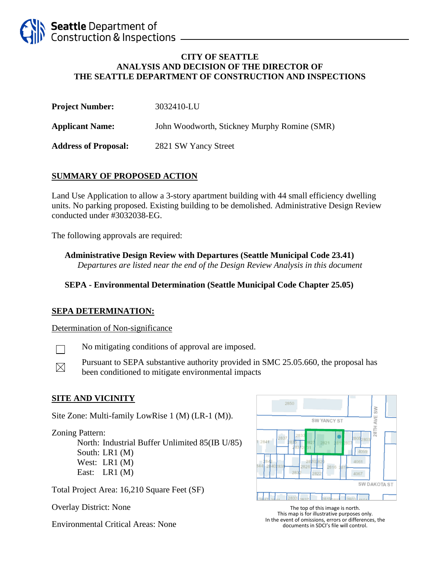

#### **CITY OF SEATTLE ANALYSIS AND DECISION OF THE DIRECTOR OF THE SEATTLE DEPARTMENT OF CONSTRUCTION AND INSPECTIONS**

| <b>Project Number:</b>      | 3032410-LU                                   |
|-----------------------------|----------------------------------------------|
| <b>Applicant Name:</b>      | John Woodworth, Stickney Murphy Romine (SMR) |
| <b>Address of Proposal:</b> | 2821 SW Yancy Street                         |

## **SUMMARY OF PROPOSED ACTION**

Land Use Application to allow a 3-story apartment building with 44 small efficiency dwelling units. No parking proposed. Existing building to be demolished. Administrative Design Review conducted under #3032038-EG.

The following approvals are required:

**Administrative Design Review with Departures (Seattle Municipal Code 23.41)** *Departures are listed near the end of the Design Review Analysis in this document*

## **SEPA - Environmental Determination (Seattle Municipal Code Chapter 25.05)**

#### **SEPA DETERMINATION:**

Determination of Non-significance

No mitigating conditions of approval are imposed.  $\Box$ 

Pursuant to SEPA substantive authority provided in SMC 25.05.660, the proposal has  $\boxtimes$ been conditioned to mitigate environmental impacts

#### **SITE AND VICINITY**

Site Zone: Multi-family LowRise 1 (M) (LR-1 (M)).

Zoning Pattern:

North: Industrial Buffer Unlimited 85(IB U/85) South: LR1 (M) West: LR1 (M) East: LR1 (M)

Total Project Area: 16,210 Square Feet (SF)

Overlay District: None

Environmental Critical Areas: None



The top of this image is north. This map is for illustrative purposes only. In the event of omissions, errors or differences, the documents in SDCI's file will control.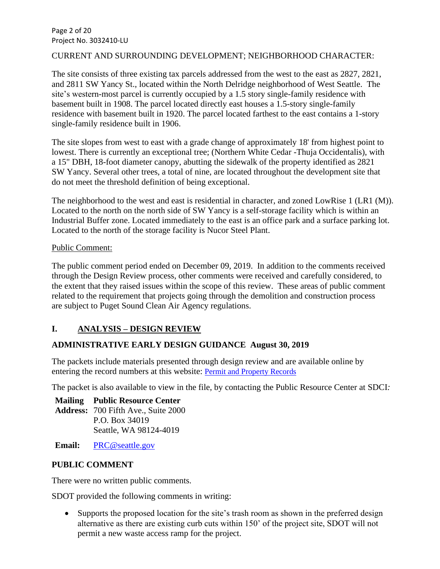Page 2 of 20 Project No. 3032410-LU

#### CURRENT AND SURROUNDING DEVELOPMENT; NEIGHBORHOOD CHARACTER:

The site consists of three existing tax parcels addressed from the west to the east as 2827, 2821, and 2811 SW Yancy St., located within the North Delridge neighborhood of West Seattle. The site's western-most parcel is currently occupied by a 1.5 story single-family residence with basement built in 1908. The parcel located directly east houses a 1.5-story single-family residence with basement built in 1920. The parcel located farthest to the east contains a 1-story single-family residence built in 1906.

The site slopes from west to east with a grade change of approximately 18' from highest point to lowest. There is currently an exceptional tree; (Northern White Cedar -Thuja Occidentalis), with a 15" DBH, 18-foot diameter canopy, abutting the sidewalk of the property identified as 2821 SW Yancy. Several other trees, a total of nine, are located throughout the development site that do not meet the threshold definition of being exceptional.

The neighborhood to the west and east is residential in character, and zoned LowRise 1 (LR1 (M)). Located to the north on the north side of SW Yancy is a self-storage facility which is within an Industrial Buffer zone. Located immediately to the east is an office park and a surface parking lot. Located to the north of the storage facility is Nucor Steel Plant.

#### Public Comment:

The public comment period ended on December 09, 2019. In addition to the comments received through the Design Review process, other comments were received and carefully considered, to the extent that they raised issues within the scope of this review. These areas of public comment related to the requirement that projects going through the demolition and construction process are subject to Puget Sound Clean Air Agency regulations.

# **I. ANALYSIS – DESIGN REVIEW**

# **ADMINISTRATIVE EARLY DESIGN GUIDANCE August 30, 2019**

The packets include materials presented through design review and are available online by entering the record numbers at this website: [Permit and Property Records](http://web6.seattle.gov/dpd/edms/)

The packet is also available to view in the file, by contacting the Public Resource Center at SDCI*:*

**Mailing Public Resource Center Address:** 700 Fifth Ave., Suite 2000 P.O. Box 34019 Seattle, WA 98124-4019

**Email:** [PRC@seattle.gov](mailto:PRC@seattle.gov)

# **PUBLIC COMMENT**

There were no written public comments.

SDOT provided the following comments in writing:

• Supports the proposed location for the site's trash room as shown in the preferred design alternative as there are existing curb cuts within 150' of the project site, SDOT will not permit a new waste access ramp for the project.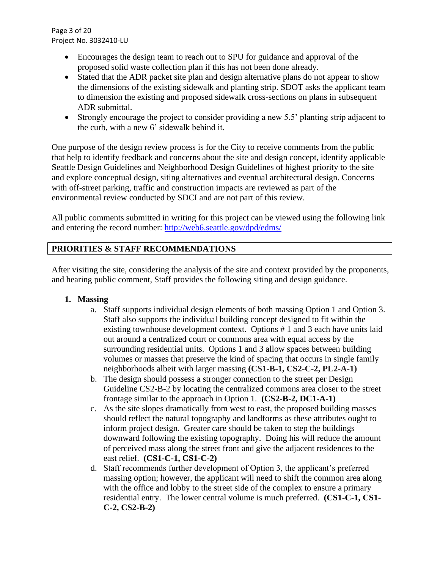Page 3 of 20 Project No. 3032410-LU

- Encourages the design team to reach out to SPU for guidance and approval of the proposed solid waste collection plan if this has not been done already.
- Stated that the ADR packet site plan and design alternative plans do not appear to show the dimensions of the existing sidewalk and planting strip. SDOT asks the applicant team to dimension the existing and proposed sidewalk cross-sections on plans in subsequent ADR submittal.
- Strongly encourage the project to consider providing a new 5.5' planting strip adjacent to the curb, with a new 6' sidewalk behind it.

One purpose of the design review process is for the City to receive comments from the public that help to identify feedback and concerns about the site and design concept, identify applicable Seattle Design Guidelines and Neighborhood Design Guidelines of highest priority to the site and explore conceptual design, siting alternatives and eventual architectural design. Concerns with off-street parking, traffic and construction impacts are reviewed as part of the environmental review conducted by SDCI and are not part of this review.

All public comments submitted in writing for this project can be viewed using the following link and entering the record number:<http://web6.seattle.gov/dpd/edms/>

# **PRIORITIES & STAFF RECOMMENDATIONS**

After visiting the site, considering the analysis of the site and context provided by the proponents, and hearing public comment, Staff provides the following siting and design guidance.

# **1. Massing**

- a. Staff supports individual design elements of both massing Option 1 and Option 3. Staff also supports the individual building concept designed to fit within the existing townhouse development context. Options # 1 and 3 each have units laid out around a centralized court or commons area with equal access by the surrounding residential units. Options 1 and 3 allow spaces between building volumes or masses that preserve the kind of spacing that occurs in single family neighborhoods albeit with larger massing **(CS1-B-1, CS2-C-2, PL2-A-1)**
- b. The design should possess a stronger connection to the street per Design Guideline CS2-B-2 by locating the centralized commons area closer to the street frontage similar to the approach in Option 1. **(CS2-B-2, DC1-A-1)**
- c. As the site slopes dramatically from west to east, the proposed building masses should reflect the natural topography and landforms as these attributes ought to inform project design. Greater care should be taken to step the buildings downward following the existing topography. Doing his will reduce the amount of perceived mass along the street front and give the adjacent residences to the east relief. **(CS1-C-1, CS1-C-2)**
- d. Staff recommends further development of Option 3, the applicant's preferred massing option; however, the applicant will need to shift the common area along with the office and lobby to the street side of the complex to ensure a primary residential entry. The lower central volume is much preferred. **(CS1-C-1, CS1- C-2, CS2-B-2)**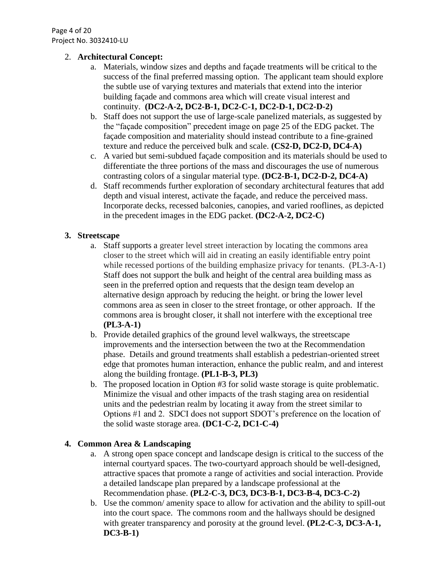Page 4 of 20 Project No. 3032410-LU

## 2. **Architectural Concept:**

- a. Materials, window sizes and depths and façade treatments will be critical to the success of the final preferred massing option. The applicant team should explore the subtle use of varying textures and materials that extend into the interior building façade and commons area which will create visual interest and continuity. **(DC2-A-2, DC2-B-1, DC2-C-1, DC2-D-1, DC2-D-2)**
- b. Staff does not support the use of large-scale panelized materials, as suggested by the "façade composition" precedent image on page 25 of the EDG packet. The façade composition and materiality should instead contribute to a fine-grained texture and reduce the perceived bulk and scale. **(CS2-D, DC2-D, DC4-A)**
- c. A varied but semi-subdued façade composition and its materials should be used to differentiate the three portions of the mass and discourages the use of numerous contrasting colors of a singular material type. **(DC2-B-1, DC2-D-2, DC4-A)**
- d. Staff recommends further exploration of secondary architectural features that add depth and visual interest, activate the façade, and reduce the perceived mass. Incorporate decks, recessed balconies, canopies, and varied rooflines, as depicted in the precedent images in the EDG packet. **(DC2-A-2, DC2-C)**

# **3. Streetscape**

- a. Staff supports a greater level street interaction by locating the commons area closer to the street which will aid in creating an easily identifiable entry point while recessed portions of the building emphasize privacy for tenants. (PL3-A-1) Staff does not support the bulk and height of the central area building mass as seen in the preferred option and requests that the design team develop an alternative design approach by reducing the height. or bring the lower level commons area as seen in closer to the street frontage, or other approach. If the commons area is brought closer, it shall not interfere with the exceptional tree **(PL3-A-1)**
- b. Provide detailed graphics of the ground level walkways, the streetscape improvements and the intersection between the two at the Recommendation phase. Details and ground treatments shall establish a pedestrian-oriented street edge that promotes human interaction, enhance the public realm, and and interest along the building frontage. **(PL1-B-3, PL3)**
- b. The proposed location in Option #3 for solid waste storage is quite problematic. Minimize the visual and other impacts of the trash staging area on residential units and the pedestrian realm by locating it away from the street similar to Options #1 and 2. SDCI does not support SDOT's preference on the location of the solid waste storage area. **(DC1-C-2, DC1-C-4)**

# **4. Common Area & Landscaping**

- a. A strong open space concept and landscape design is critical to the success of the internal courtyard spaces. The two-courtyard approach should be well-designed, attractive spaces that promote a range of activities and social interaction. Provide a detailed landscape plan prepared by a landscape professional at the Recommendation phase. **(PL2-C-3, DC3, DC3-B-1, DC3-B-4, DC3-C-2)**
- b. Use the common/ amenity space to allow for activation and the ability to spill-out into the court space. The commons room and the hallways should be designed with greater transparency and porosity at the ground level. **(PL2-C-3, DC3-A-1, DC3-B-1)**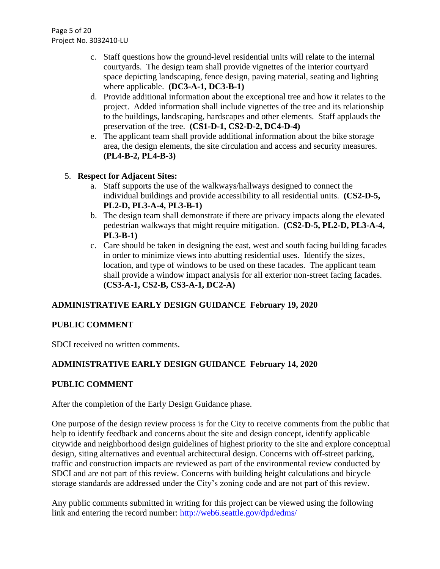Page 5 of 20 Project No. 3032410-LU

- c. Staff questions how the ground-level residential units will relate to the internal courtyards. The design team shall provide vignettes of the interior courtyard space depicting landscaping, fence design, paving material, seating and lighting where applicable. **(DC3-A-1, DC3-B-1)**
- d. Provide additional information about the exceptional tree and how it relates to the project. Added information shall include vignettes of the tree and its relationship to the buildings, landscaping, hardscapes and other elements. Staff applauds the preservation of the tree. **(CS1-D-1, CS2-D-2, DC4-D-4)**
- e. The applicant team shall provide additional information about the bike storage area, the design elements, the site circulation and access and security measures. **(PL4-B-2, PL4-B-3)**
- 5. **Respect for Adjacent Sites:** 
	- a. Staff supports the use of the walkways/hallways designed to connect the individual buildings and provide accessibility to all residential units. **(CS2-D-5, PL2-D, PL3-A-4, PL3-B-1)**
	- b. The design team shall demonstrate if there are privacy impacts along the elevated pedestrian walkways that might require mitigation. **(CS2-D-5, PL2-D, PL3-A-4, PL3-B-1)**
	- c. Care should be taken in designing the east, west and south facing building facades in order to minimize views into abutting residential uses. Identify the sizes, location, and type of windows to be used on these facades. The applicant team shall provide a window impact analysis for all exterior non-street facing facades. **(CS3-A-1, CS2-B, CS3-A-1, DC2-A)**

# **ADMINISTRATIVE EARLY DESIGN GUIDANCE February 19, 2020**

# **PUBLIC COMMENT**

SDCI received no written comments.

# **ADMINISTRATIVE EARLY DESIGN GUIDANCE February 14, 2020**

# **PUBLIC COMMENT**

After the completion of the Early Design Guidance phase.

One purpose of the design review process is for the City to receive comments from the public that help to identify feedback and concerns about the site and design concept, identify applicable citywide and neighborhood design guidelines of highest priority to the site and explore conceptual design, siting alternatives and eventual architectural design. Concerns with off-street parking, traffic and construction impacts are reviewed as part of the environmental review conducted by SDCI and are not part of this review. Concerns with building height calculations and bicycle storage standards are addressed under the City's zoning code and are not part of this review.

Any public comments submitted in writing for this project can be viewed using the following link and entering the record number: http://web6.seattle.gov/dpd/edms/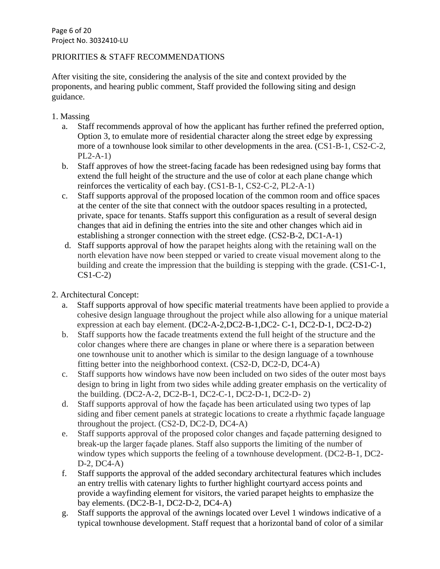# PRIORITIES & STAFF RECOMMENDATIONS

After visiting the site, considering the analysis of the site and context provided by the proponents, and hearing public comment, Staff provided the following siting and design guidance.

- 1. Massing
	- a. Staff recommends approval of how the applicant has further refined the preferred option, Option 3, to emulate more of residential character along the street edge by expressing more of a townhouse look similar to other developments in the area. (CS1-B-1, CS2-C-2, PL2-A-1)
	- b. Staff approves of how the street-facing facade has been redesigned using bay forms that extend the full height of the structure and the use of color at each plane change which reinforces the verticality of each bay. (CS1-B-1, CS2-C-2, PL2-A-1)
	- c. Staff supports approval of the proposed location of the common room and office spaces at the center of the site that connect with the outdoor spaces resulting in a protected, private, space for tenants. Staffs support this configuration as a result of several design changes that aid in defining the entries into the site and other changes which aid in establishing a stronger connection with the street edge. (CS2-B-2, DC1-A-1)
	- d. Staff supports approval of how the parapet heights along with the retaining wall on the north elevation have now been stepped or varied to create visual movement along to the building and create the impression that the building is stepping with the grade. (CS1-C-1, CS1-C-2)
- 2. Architectural Concept:
	- a. Staff supports approval of how specific material treatments have been applied to provide a cohesive design language throughout the project while also allowing for a unique material expression at each bay element. (DC2-A-2,DC2-B-1,DC2- C-1, DC2-D-1, DC2-D-2)
	- b. Staff supports how the facade treatments extend the full height of the structure and the color changes where there are changes in plane or where there is a separation between one townhouse unit to another which is similar to the design language of a townhouse fitting better into the neighborhood context. (CS2-D, DC2-D, DC4-A)
	- c. Staff supports how windows have now been included on two sides of the outer most bays design to bring in light from two sides while adding greater emphasis on the verticality of the building. (DC2-A-2, DC2-B-1, DC2-C-1, DC2-D-1, DC2-D- 2)
	- d. Staff supports approval of how the façade has been articulated using two types of lap siding and fiber cement panels at strategic locations to create a rhythmic façade language throughout the project. (CS2-D, DC2-D, DC4-A)
	- e. Staff supports approval of the proposed color changes and façade patterning designed to break-up the larger façade planes. Staff also supports the limiting of the number of window types which supports the feeling of a townhouse development. (DC2-B-1, DC2- D-2, DC4-A)
	- f. Staff supports the approval of the added secondary architectural features which includes an entry trellis with catenary lights to further highlight courtyard access points and provide a wayfinding element for visitors, the varied parapet heights to emphasize the bay elements. (DC2-B-1, DC2-D-2, DC4-A)
	- g. Staff supports the approval of the awnings located over Level 1 windows indicative of a typical townhouse development. Staff request that a horizontal band of color of a similar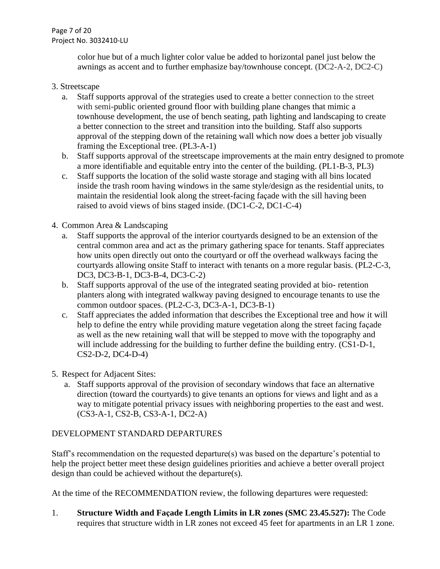Page 7 of 20 Project No. 3032410-LU

> color hue but of a much lighter color value be added to horizontal panel just below the awnings as accent and to further emphasize bay/townhouse concept. (DC2-A-2, DC2-C)

# 3. Streetscape

- a. Staff supports approval of the strategies used to create a better connection to the street with semi-public oriented ground floor with building plane changes that mimic a townhouse development, the use of bench seating, path lighting and landscaping to create a better connection to the street and transition into the building. Staff also supports approval of the stepping down of the retaining wall which now does a better job visually framing the Exceptional tree. (PL3-A-1)
- b. Staff supports approval of the streetscape improvements at the main entry designed to promote a more identifiable and equitable entry into the center of the building. (PL1-B-3, PL3)
- c. Staff supports the location of the solid waste storage and staging with all bins located inside the trash room having windows in the same style/design as the residential units, to maintain the residential look along the street-facing façade with the sill having been raised to avoid views of bins staged inside. (DC1-C-2, DC1-C-4)
- 4. Common Area & Landscaping
	- a. Staff supports the approval of the interior courtyards designed to be an extension of the central common area and act as the primary gathering space for tenants. Staff appreciates how units open directly out onto the courtyard or off the overhead walkways facing the courtyards allowing onsite Staff to interact with tenants on a more regular basis. (PL2-C-3, DC3, DC3-B-1, DC3-B-4, DC3-C-2)
	- b. Staff supports approval of the use of the integrated seating provided at bio- retention planters along with integrated walkway paving designed to encourage tenants to use the common outdoor spaces. (PL2-C-3, DC3-A-1, DC3-B-1)
	- c. Staff appreciates the added information that describes the Exceptional tree and how it will help to define the entry while providing mature vegetation along the street facing façade as well as the new retaining wall that will be stepped to move with the topography and will include addressing for the building to further define the building entry. (CS1-D-1, CS2-D-2, DC4-D-4)
- 5. Respect for Adjacent Sites:
	- a. Staff supports approval of the provision of secondary windows that face an alternative direction (toward the courtyards) to give tenants an options for views and light and as a way to mitigate potential privacy issues with neighboring properties to the east and west. (CS3-A-1, CS2-B, CS3-A-1, DC2-A)

# DEVELOPMENT STANDARD DEPARTURES

Staff's recommendation on the requested departure(s) was based on the departure's potential to help the project better meet these design guidelines priorities and achieve a better overall project design than could be achieved without the departure(s).

At the time of the RECOMMENDATION review, the following departures were requested:

1. **Structure Width and Façade Length Limits in LR zones (SMC 23.45.527):** The Code requires that structure width in LR zones not exceed 45 feet for apartments in an LR 1 zone.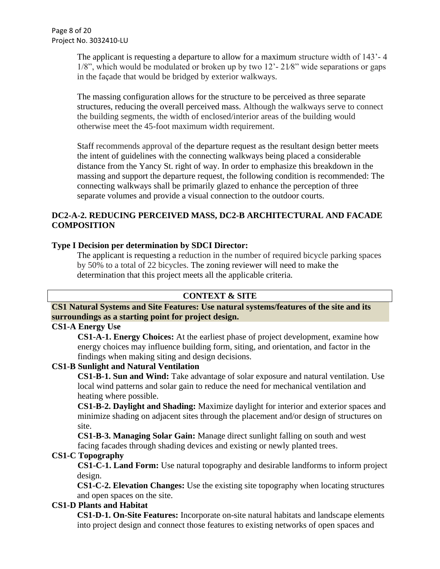The applicant is requesting a departure to allow for a maximum structure width of 143'- 4 1/8", which would be modulated or broken up by two 12'- 21⁄8" wide separations or gaps in the façade that would be bridged by exterior walkways.

The massing configuration allows for the structure to be perceived as three separate structures, reducing the overall perceived mass. Although the walkways serve to connect the building segments, the width of enclosed/interior areas of the building would otherwise meet the 45-foot maximum width requirement.

Staff recommends approval of the departure request as the resultant design better meets the intent of guidelines with the connecting walkways being placed a considerable distance from the Yancy St. right of way. In order to emphasize this breakdown in the massing and support the departure request, the following condition is recommended: The connecting walkways shall be primarily glazed to enhance the perception of three separate volumes and provide a visual connection to the outdoor courts.

# **DC2-A-2. REDUCING PERCEIVED MASS, DC2-B ARCHITECTURAL AND FACADE COMPOSITION**

## **Type I Decision per determination by SDCI Director:**

The applicant is requesting a reduction in the number of required bicycle parking spaces by 50% to a total of 22 bicycles. The zoning reviewer will need to make the determination that this project meets all the applicable criteria.

# **CONTEXT & SITE**

**CS1 Natural Systems and Site Features: Use natural systems/features of the site and its surroundings as a starting point for project design.**

### **CS1-A Energy Use**

**CS1-A-1. Energy Choices:** At the earliest phase of project development, examine how energy choices may influence building form, siting, and orientation, and factor in the findings when making siting and design decisions.

#### **CS1-B Sunlight and Natural Ventilation**

**CS1-B-1. Sun and Wind:** Take advantage of solar exposure and natural ventilation. Use local wind patterns and solar gain to reduce the need for mechanical ventilation and heating where possible.

**CS1-B-2. Daylight and Shading:** Maximize daylight for interior and exterior spaces and minimize shading on adjacent sites through the placement and/or design of structures on site.

**CS1-B-3. Managing Solar Gain:** Manage direct sunlight falling on south and west facing facades through shading devices and existing or newly planted trees.

# **CS1-C Topography**

**CS1-C-1. Land Form:** Use natural topography and desirable landforms to inform project design.

**CS1-C-2. Elevation Changes:** Use the existing site topography when locating structures and open spaces on the site.

# **CS1-D Plants and Habitat**

**CS1-D-1. On-Site Features:** Incorporate on-site natural habitats and landscape elements into project design and connect those features to existing networks of open spaces and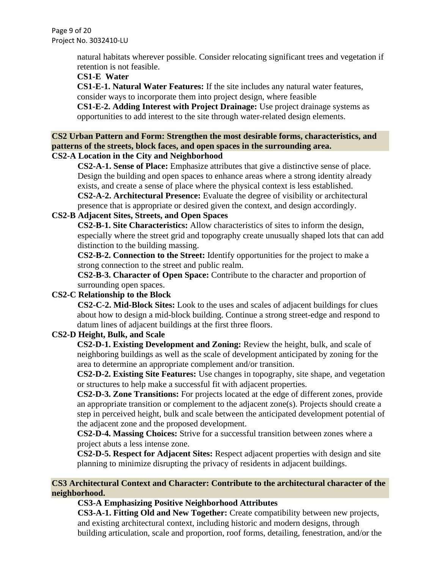Page 9 of 20 Project No. 3032410-LU

> natural habitats wherever possible. Consider relocating significant trees and vegetation if retention is not feasible.

### **CS1-E Water**

**CS1-E-1. Natural Water Features:** If the site includes any natural water features, consider ways to incorporate them into project design, where feasible

**CS1-E-2. Adding Interest with Project Drainage:** Use project drainage systems as opportunities to add interest to the site through water-related design elements.

#### **CS2 Urban Pattern and Form: Strengthen the most desirable forms, characteristics, and patterns of the streets, block faces, and open spaces in the surrounding area. CS2-A Location in the City and Neighborhood**

**CS2-A-1. Sense of Place:** Emphasize attributes that give a distinctive sense of place. Design the building and open spaces to enhance areas where a strong identity already exists, and create a sense of place where the physical context is less established.

**CS2-A-2. Architectural Presence:** Evaluate the degree of visibility or architectural presence that is appropriate or desired given the context, and design accordingly.

# **CS2-B Adjacent Sites, Streets, and Open Spaces**

**CS2-B-1. Site Characteristics:** Allow characteristics of sites to inform the design, especially where the street grid and topography create unusually shaped lots that can add distinction to the building massing.

**CS2-B-2. Connection to the Street:** Identify opportunities for the project to make a strong connection to the street and public realm.

**CS2-B-3. Character of Open Space:** Contribute to the character and proportion of surrounding open spaces.

# **CS2-C Relationship to the Block**

**CS2-C-2. Mid-Block Sites:** Look to the uses and scales of adjacent buildings for clues about how to design a mid-block building. Continue a strong street-edge and respond to datum lines of adjacent buildings at the first three floors.

# **CS2-D Height, Bulk, and Scale**

**CS2-D-1. Existing Development and Zoning:** Review the height, bulk, and scale of neighboring buildings as well as the scale of development anticipated by zoning for the area to determine an appropriate complement and/or transition.

**CS2-D-2. Existing Site Features:** Use changes in topography, site shape, and vegetation or structures to help make a successful fit with adjacent properties.

**CS2-D-3. Zone Transitions:** For projects located at the edge of different zones, provide an appropriate transition or complement to the adjacent zone(s). Projects should create a step in perceived height, bulk and scale between the anticipated development potential of the adjacent zone and the proposed development.

**CS2-D-4. Massing Choices:** Strive for a successful transition between zones where a project abuts a less intense zone.

**CS2-D-5. Respect for Adjacent Sites:** Respect adjacent properties with design and site planning to minimize disrupting the privacy of residents in adjacent buildings.

# **CS3 Architectural Context and Character: Contribute to the architectural character of the neighborhood.**

# **CS3-A Emphasizing Positive Neighborhood Attributes**

**CS3-A-1. Fitting Old and New Together:** Create compatibility between new projects, and existing architectural context, including historic and modern designs, through building articulation, scale and proportion, roof forms, detailing, fenestration, and/or the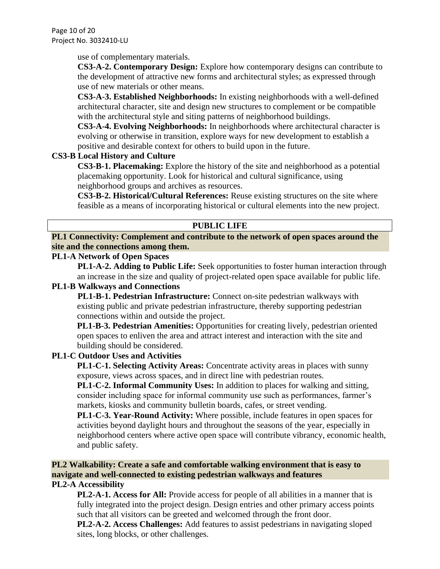Page 10 of 20 Project No. 3032410-LU

use of complementary materials.

**CS3-A-2. Contemporary Design:** Explore how contemporary designs can contribute to the development of attractive new forms and architectural styles; as expressed through use of new materials or other means.

**CS3-A-3. Established Neighborhoods:** In existing neighborhoods with a well-defined architectural character, site and design new structures to complement or be compatible with the architectural style and siting patterns of neighborhood buildings.

**CS3-A-4. Evolving Neighborhoods:** In neighborhoods where architectural character is evolving or otherwise in transition, explore ways for new development to establish a positive and desirable context for others to build upon in the future.

# **CS3-B Local History and Culture**

**CS3-B-1. Placemaking:** Explore the history of the site and neighborhood as a potential placemaking opportunity. Look for historical and cultural significance, using neighborhood groups and archives as resources.

**CS3-B-2. Historical/Cultural References:** Reuse existing structures on the site where feasible as a means of incorporating historical or cultural elements into the new project.

# **PUBLIC LIFE**

# **PL1 Connectivity: Complement and contribute to the network of open spaces around the site and the connections among them.**

## **PL1-A Network of Open Spaces**

**PL1-A-2. Adding to Public Life:** Seek opportunities to foster human interaction through an increase in the size and quality of project-related open space available for public life.

## **PL1-B Walkways and Connections**

**PL1-B-1. Pedestrian Infrastructure:** Connect on-site pedestrian walkways with existing public and private pedestrian infrastructure, thereby supporting pedestrian connections within and outside the project.

**PL1-B-3. Pedestrian Amenities:** Opportunities for creating lively, pedestrian oriented open spaces to enliven the area and attract interest and interaction with the site and building should be considered.

# **PL1-C Outdoor Uses and Activities**

**PL1-C-1. Selecting Activity Areas:** Concentrate activity areas in places with sunny exposure, views across spaces, and in direct line with pedestrian routes.

**PL1-C-2. Informal Community Uses:** In addition to places for walking and sitting, consider including space for informal community use such as performances, farmer's markets, kiosks and community bulletin boards, cafes, or street vending.

**PL1-C-3. Year-Round Activity:** Where possible, include features in open spaces for activities beyond daylight hours and throughout the seasons of the year, especially in neighborhood centers where active open space will contribute vibrancy, economic health, and public safety.

#### **PL2 Walkability: Create a safe and comfortable walking environment that is easy to navigate and well-connected to existing pedestrian walkways and features PL2-A Accessibility**

# **PL2-A-1. Access for All:** Provide access for people of all abilities in a manner that is fully integrated into the project design. Design entries and other primary access points such that all visitors can be greeted and welcomed through the front door.

**PL2-A-2. Access Challenges:** Add features to assist pedestrians in navigating sloped sites, long blocks, or other challenges.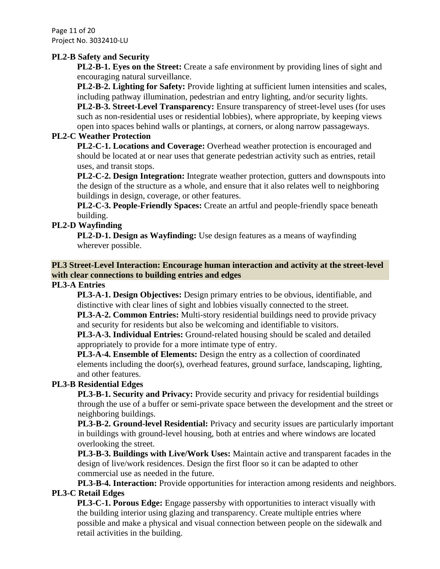Page 11 of 20 Project No. 3032410-LU

### **PL2-B Safety and Security**

**PL2-B-1. Eyes on the Street:** Create a safe environment by providing lines of sight and encouraging natural surveillance.

**PL2-B-2. Lighting for Safety:** Provide lighting at sufficient lumen intensities and scales, including pathway illumination, pedestrian and entry lighting, and/or security lights. **PL2-B-3. Street-Level Transparency:** Ensure transparency of street-level uses (for uses such as non-residential uses or residential lobbies), where appropriate, by keeping views open into spaces behind walls or plantings, at corners, or along narrow passageways.

### **PL2-C Weather Protection**

**PL2-C-1. Locations and Coverage:** Overhead weather protection is encouraged and should be located at or near uses that generate pedestrian activity such as entries, retail uses, and transit stops.

**PL2-C-2. Design Integration:** Integrate weather protection, gutters and downspouts into the design of the structure as a whole, and ensure that it also relates well to neighboring buildings in design, coverage, or other features.

**PL2-C-3. People-Friendly Spaces:** Create an artful and people-friendly space beneath building.

## **PL2-D Wayfinding**

**PL2-D-1. Design as Wayfinding:** Use design features as a means of wayfinding wherever possible.

## **PL3 Street-Level Interaction: Encourage human interaction and activity at the street-level with clear connections to building entries and edges**

## **PL3-A Entries**

**PL3-A-1. Design Objectives:** Design primary entries to be obvious, identifiable, and distinctive with clear lines of sight and lobbies visually connected to the street.

**PL3-A-2. Common Entries:** Multi-story residential buildings need to provide privacy and security for residents but also be welcoming and identifiable to visitors.

**PL3-A-3. Individual Entries:** Ground-related housing should be scaled and detailed appropriately to provide for a more intimate type of entry.

**PL3-A-4. Ensemble of Elements:** Design the entry as a collection of coordinated elements including the door(s), overhead features, ground surface, landscaping, lighting, and other features.

# **PL3-B Residential Edges**

**PL3-B-1. Security and Privacy:** Provide security and privacy for residential buildings through the use of a buffer or semi-private space between the development and the street or neighboring buildings.

**PL3-B-2. Ground-level Residential:** Privacy and security issues are particularly important in buildings with ground-level housing, both at entries and where windows are located overlooking the street.

**PL3-B-3. Buildings with Live/Work Uses:** Maintain active and transparent facades in the design of live/work residences. Design the first floor so it can be adapted to other commercial use as needed in the future.

**PL3-B-4. Interaction:** Provide opportunities for interaction among residents and neighbors. **PL3-C Retail Edges**

**PL3-C-1. Porous Edge:** Engage passersby with opportunities to interact visually with the building interior using glazing and transparency. Create multiple entries where possible and make a physical and visual connection between people on the sidewalk and retail activities in the building.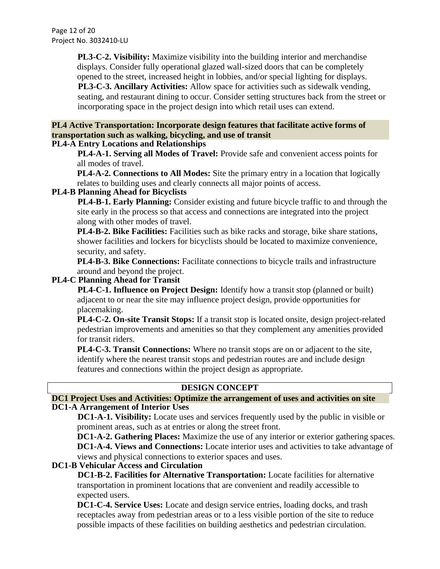Page 12 of 20 Project No. 3032410-LU

> **PL3-C-2. Visibility:** Maximize visibility into the building interior and merchandise displays. Consider fully operational glazed wall-sized doors that can be completely opened to the street, increased height in lobbies, and/or special lighting for displays. **PL3-C-3. Ancillary Activities:** Allow space for activities such as sidewalk vending, seating, and restaurant dining to occur. Consider setting structures back from the street or incorporating space in the project design into which retail uses can extend.

# **PL4 Active Transportation: Incorporate design features that facilitate active forms of transportation such as walking, bicycling, and use of transit**

## **PL4-A Entry Locations and Relationships**

**PL4-A-1. Serving all Modes of Travel:** Provide safe and convenient access points for all modes of travel.

**PL4-A-2. Connections to All Modes:** Site the primary entry in a location that logically relates to building uses and clearly connects all major points of access.

## **PL4-B Planning Ahead for Bicyclists**

**PL4-B-1. Early Planning:** Consider existing and future bicycle traffic to and through the site early in the process so that access and connections are integrated into the project along with other modes of travel.

**PL4-B-2. Bike Facilities:** Facilities such as bike racks and storage, bike share stations, shower facilities and lockers for bicyclists should be located to maximize convenience, security, and safety.

PL4-B-3. Bike Connections: Facilitate connections to bicycle trails and infrastructure around and beyond the project.

#### **PL4-C Planning Ahead for Transit**

**PL4-C-1. Influence on Project Design:** Identify how a transit stop (planned or built) adjacent to or near the site may influence project design, provide opportunities for placemaking.

**PL4-C-2. On-site Transit Stops:** If a transit stop is located onsite, design project-related pedestrian improvements and amenities so that they complement any amenities provided for transit riders.

**PL4-C-3. Transit Connections:** Where no transit stops are on or adjacent to the site, identify where the nearest transit stops and pedestrian routes are and include design features and connections within the project design as appropriate.

# **DESIGN CONCEPT**

#### **DC1 Project Uses and Activities: Optimize the arrangement of uses and activities on site DC1-A Arrangement of Interior Uses**

**DC1-A-1. Visibility:** Locate uses and services frequently used by the public in visible or prominent areas, such as at entries or along the street front.

**DC1-A-2. Gathering Places:** Maximize the use of any interior or exterior gathering spaces. **DC1-A-4. Views and Connections:** Locate interior uses and activities to take advantage of views and physical connections to exterior spaces and uses.

#### **DC1-B Vehicular Access and Circulation**

**DC1-B-2. Facilities for Alternative Transportation:** Locate facilities for alternative transportation in prominent locations that are convenient and readily accessible to expected users.

**DC1-C-4. Service Uses:** Locate and design service entries, loading docks, and trash receptacles away from pedestrian areas or to a less visible portion of the site to reduce possible impacts of these facilities on building aesthetics and pedestrian circulation.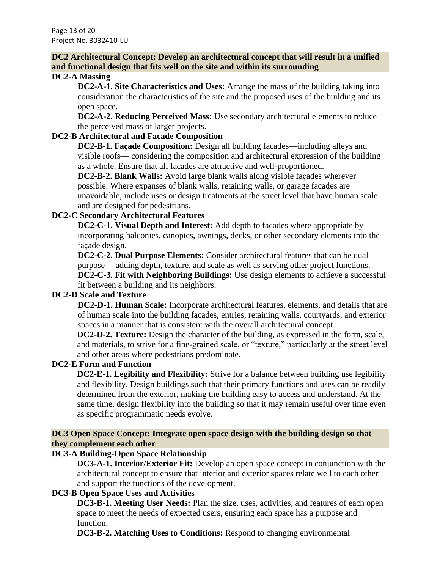# **DC2 Architectural Concept: Develop an architectural concept that will result in a unified and functional design that fits well on the site and within its surrounding**

### **DC2-A Massing**

**DC2-A-1. Site Characteristics and Uses:** Arrange the mass of the building taking into consideration the characteristics of the site and the proposed uses of the building and its open space.

**DC2-A-2. Reducing Perceived Mass:** Use secondary architectural elements to reduce the perceived mass of larger projects.

# **DC2-B Architectural and Facade Composition**

**DC2-B-1. Façade Composition:** Design all building facades—including alleys and visible roofs— considering the composition and architectural expression of the building as a whole. Ensure that all facades are attractive and well-proportioned.

**DC2-B-2. Blank Walls:** Avoid large blank walls along visible façades wherever possible. Where expanses of blank walls, retaining walls, or garage facades are unavoidable, include uses or design treatments at the street level that have human scale and are designed for pedestrians.

# **DC2-C Secondary Architectural Features**

**DC2-C-1. Visual Depth and Interest:** Add depth to facades where appropriate by incorporating balconies, canopies, awnings, decks, or other secondary elements into the façade design.

**DC2-C-2. Dual Purpose Elements:** Consider architectural features that can be dual purpose— adding depth, texture, and scale as well as serving other project functions. **DC2-C-3. Fit with Neighboring Buildings:** Use design elements to achieve a successful

fit between a building and its neighbors.

# **DC2-D Scale and Texture**

**DC2-D-1. Human Scale:** Incorporate architectural features, elements, and details that are of human scale into the building facades, entries, retaining walls, courtyards, and exterior spaces in a manner that is consistent with the overall architectural concept

**DC2-D-2. Texture:** Design the character of the building, as expressed in the form, scale, and materials, to strive for a fine-grained scale, or "texture," particularly at the street level and other areas where pedestrians predominate.

#### **DC2-E Form and Function**

**DC2-E-1. Legibility and Flexibility:** Strive for a balance between building use legibility and flexibility. Design buildings such that their primary functions and uses can be readily determined from the exterior, making the building easy to access and understand. At the same time, design flexibility into the building so that it may remain useful over time even as specific programmatic needs evolve.

## **DC3 Open Space Concept: Integrate open space design with the building design so that they complement each other**

# **DC3-A Building-Open Space Relationship**

**DC3-A-1. Interior/Exterior Fit:** Develop an open space concept in conjunction with the architectural concept to ensure that interior and exterior spaces relate well to each other and support the functions of the development.

# **DC3-B Open Space Uses and Activities**

**DC3-B-1. Meeting User Needs:** Plan the size, uses, activities, and features of each open space to meet the needs of expected users, ensuring each space has a purpose and function.

**DC3-B-2. Matching Uses to Conditions:** Respond to changing environmental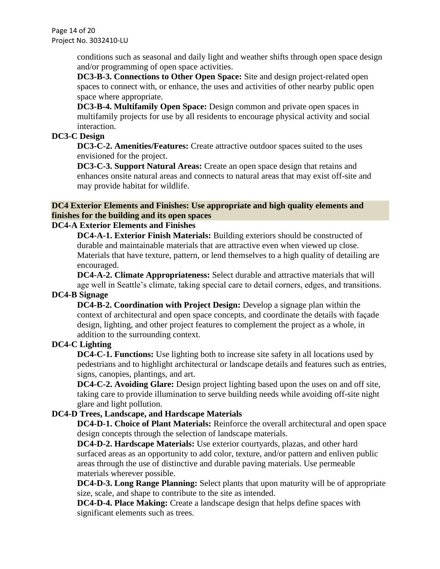Page 14 of 20 Project No. 3032410-LU

> conditions such as seasonal and daily light and weather shifts through open space design and/or programming of open space activities.

**DC3-B-3. Connections to Other Open Space:** Site and design project-related open spaces to connect with, or enhance, the uses and activities of other nearby public open space where appropriate.

**DC3-B-4. Multifamily Open Space:** Design common and private open spaces in multifamily projects for use by all residents to encourage physical activity and social interaction.

### **DC3-C Design**

**DC3-C-2. Amenities/Features:** Create attractive outdoor spaces suited to the uses envisioned for the project.

**DC3-C-3. Support Natural Areas:** Create an open space design that retains and enhances onsite natural areas and connects to natural areas that may exist off-site and may provide habitat for wildlife.

### **DC4 Exterior Elements and Finishes: Use appropriate and high quality elements and finishes for the building and its open spaces**

## **DC4-A Exterior Elements and Finishes**

**DC4-A-1. Exterior Finish Materials:** Building exteriors should be constructed of durable and maintainable materials that are attractive even when viewed up close. Materials that have texture, pattern, or lend themselves to a high quality of detailing are encouraged.

**DC4-A-2. Climate Appropriateness:** Select durable and attractive materials that will age well in Seattle's climate, taking special care to detail corners, edges, and transitions.

# **DC4-B Signage**

**DC4-B-2. Coordination with Project Design:** Develop a signage plan within the context of architectural and open space concepts, and coordinate the details with façade design, lighting, and other project features to complement the project as a whole, in addition to the surrounding context.

### **DC4-C Lighting**

**DC4-C-1. Functions:** Use lighting both to increase site safety in all locations used by pedestrians and to highlight architectural or landscape details and features such as entries, signs, canopies, plantings, and art.

**DC4-C-2. Avoiding Glare:** Design project lighting based upon the uses on and off site, taking care to provide illumination to serve building needs while avoiding off-site night glare and light pollution.

#### **DC4-D Trees, Landscape, and Hardscape Materials**

**DC4-D-1. Choice of Plant Materials:** Reinforce the overall architectural and open space design concepts through the selection of landscape materials.

**DC4-D-2. Hardscape Materials:** Use exterior courtyards, plazas, and other hard surfaced areas as an opportunity to add color, texture, and/or pattern and enliven public areas through the use of distinctive and durable paving materials. Use permeable materials wherever possible.

**DC4-D-3. Long Range Planning:** Select plants that upon maturity will be of appropriate size, scale, and shape to contribute to the site as intended.

**DC4-D-4. Place Making:** Create a landscape design that helps define spaces with significant elements such as trees.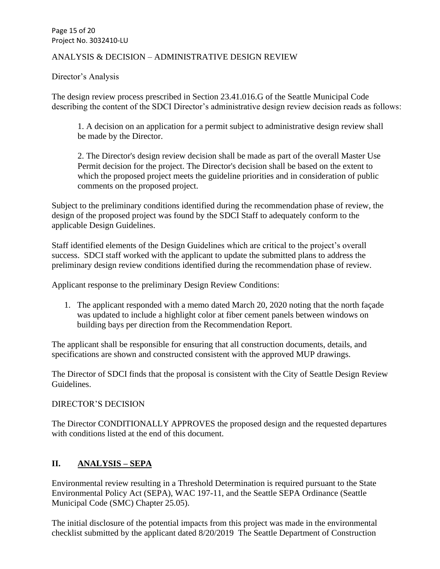Page 15 of 20 Project No. 3032410-LU

## ANALYSIS & DECISION – ADMINISTRATIVE DESIGN REVIEW

Director's Analysis

The design review process prescribed in Section 23.41.016.G of the Seattle Municipal Code describing the content of the SDCI Director's administrative design review decision reads as follows:

1. A decision on an application for a permit subject to administrative design review shall be made by the Director.

2. The Director's design review decision shall be made as part of the overall Master Use Permit decision for the project. The Director's decision shall be based on the extent to which the proposed project meets the guideline priorities and in consideration of public comments on the proposed project.

Subject to the preliminary conditions identified during the recommendation phase of review, the design of the proposed project was found by the SDCI Staff to adequately conform to the applicable Design Guidelines.

Staff identified elements of the Design Guidelines which are critical to the project's overall success. SDCI staff worked with the applicant to update the submitted plans to address the preliminary design review conditions identified during the recommendation phase of review.

Applicant response to the preliminary Design Review Conditions:

1. The applicant responded with a memo dated March 20, 2020 noting that the north façade was updated to include a highlight color at fiber cement panels between windows on building bays per direction from the Recommendation Report.

The applicant shall be responsible for ensuring that all construction documents, details, and specifications are shown and constructed consistent with the approved MUP drawings.

The Director of SDCI finds that the proposal is consistent with the City of Seattle Design Review Guidelines.

#### DIRECTOR'S DECISION

The Director CONDITIONALLY APPROVES the proposed design and the requested departures with conditions listed at the end of this document.

# **II. ANALYSIS – SEPA**

Environmental review resulting in a Threshold Determination is required pursuant to the State Environmental Policy Act (SEPA), WAC 197-11, and the Seattle SEPA Ordinance (Seattle Municipal Code (SMC) Chapter 25.05).

The initial disclosure of the potential impacts from this project was made in the environmental checklist submitted by the applicant dated 8/20/2019 The Seattle Department of Construction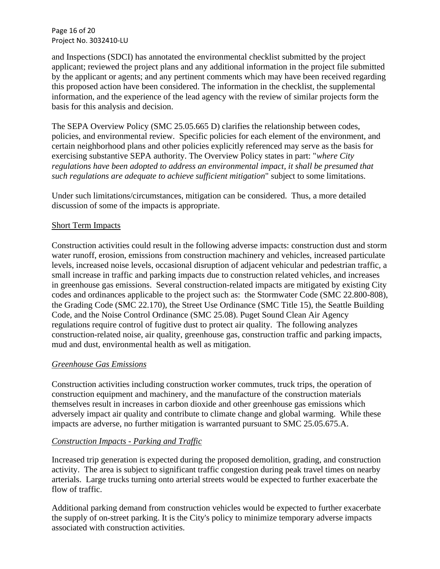Page 16 of 20 Project No. 3032410-LU

and Inspections (SDCI) has annotated the environmental checklist submitted by the project applicant; reviewed the project plans and any additional information in the project file submitted by the applicant or agents; and any pertinent comments which may have been received regarding this proposed action have been considered. The information in the checklist, the supplemental information, and the experience of the lead agency with the review of similar projects form the basis for this analysis and decision.

The SEPA Overview Policy (SMC 25.05.665 D) clarifies the relationship between codes, policies, and environmental review. Specific policies for each element of the environment, and certain neighborhood plans and other policies explicitly referenced may serve as the basis for exercising substantive SEPA authority. The Overview Policy states in part: "*where City regulations have been adopted to address an environmental impact, it shall be presumed that such regulations are adequate to achieve sufficient mitigation*" subject to some limitations.

Under such limitations/circumstances, mitigation can be considered. Thus, a more detailed discussion of some of the impacts is appropriate.

#### Short Term Impacts

Construction activities could result in the following adverse impacts: construction dust and storm water runoff, erosion, emissions from construction machinery and vehicles, increased particulate levels, increased noise levels, occasional disruption of adjacent vehicular and pedestrian traffic, a small increase in traffic and parking impacts due to construction related vehicles, and increases in greenhouse gas emissions. Several construction-related impacts are mitigated by existing City codes and ordinances applicable to the project such as: the Stormwater Code (SMC 22.800-808), the Grading Code (SMC 22.170), the Street Use Ordinance (SMC Title 15), the Seattle Building Code, and the Noise Control Ordinance (SMC 25.08). Puget Sound Clean Air Agency regulations require control of fugitive dust to protect air quality. The following analyzes construction-related noise, air quality, greenhouse gas, construction traffic and parking impacts, mud and dust, environmental health as well as mitigation.

#### *Greenhouse Gas Emissions*

Construction activities including construction worker commutes, truck trips, the operation of construction equipment and machinery, and the manufacture of the construction materials themselves result in increases in carbon dioxide and other greenhouse gas emissions which adversely impact air quality and contribute to climate change and global warming. While these impacts are adverse, no further mitigation is warranted pursuant to SMC 25.05.675.A.

# *Construction Impacts - Parking and Traffic*

Increased trip generation is expected during the proposed demolition, grading, and construction activity. The area is subject to significant traffic congestion during peak travel times on nearby arterials. Large trucks turning onto arterial streets would be expected to further exacerbate the flow of traffic.

Additional parking demand from construction vehicles would be expected to further exacerbate the supply of on-street parking. It is the City's policy to minimize temporary adverse impacts associated with construction activities.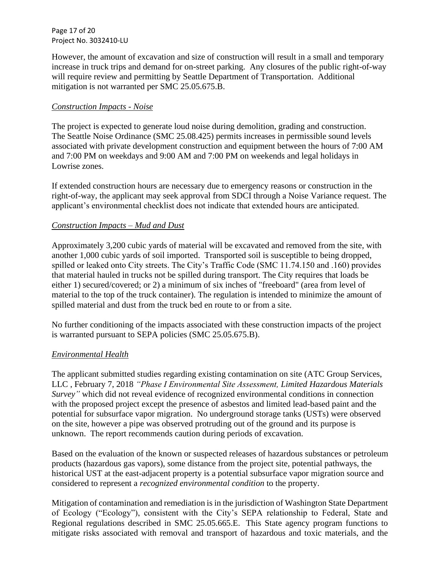Page 17 of 20 Project No. 3032410-LU

However, the amount of excavation and size of construction will result in a small and temporary increase in truck trips and demand for on-street parking. Any closures of the public right-of-way will require review and permitting by Seattle Department of Transportation. Additional mitigation is not warranted per SMC 25.05.675.B.

## *Construction Impacts - Noise*

The project is expected to generate loud noise during demolition, grading and construction. The Seattle Noise Ordinance (SMC 25.08.425) permits increases in permissible sound levels associated with private development construction and equipment between the hours of 7:00 AM and 7:00 PM on weekdays and 9:00 AM and 7:00 PM on weekends and legal holidays in Lowrise zones.

If extended construction hours are necessary due to emergency reasons or construction in the right-of-way, the applicant may seek approval from SDCI through a Noise Variance request. The applicant's environmental checklist does not indicate that extended hours are anticipated.

## *Construction Impacts – Mud and Dust*

Approximately 3,200 cubic yards of material will be excavated and removed from the site, with another 1,000 cubic yards of soil imported. Transported soil is susceptible to being dropped, spilled or leaked onto City streets. The City's Traffic Code (SMC 11.74.150 and .160) provides that material hauled in trucks not be spilled during transport. The City requires that loads be either 1) secured/covered; or 2) a minimum of six inches of "freeboard" (area from level of material to the top of the truck container). The regulation is intended to minimize the amount of spilled material and dust from the truck bed en route to or from a site.

No further conditioning of the impacts associated with these construction impacts of the project is warranted pursuant to SEPA policies (SMC 25.05.675.B).

# *Environmental Health*

The applicant submitted studies regarding existing contamination on site (ATC Group Services, LLC , February 7, 2018 *"Phase I Environmental Site Assessment, Limited Hazardous Materials Survey"* which did not reveal evidence of recognized environmental conditions in connection with the proposed project except the presence of asbestos and limited lead-based paint and the potential for subsurface vapor migration. No underground storage tanks (USTs) were observed on the site, however a pipe was observed protruding out of the ground and its purpose is unknown. The report recommends caution during periods of excavation.

Based on the evaluation of the known or suspected releases of hazardous substances or petroleum products (hazardous gas vapors), some distance from the project site, potential pathways, the historical UST at the east-adjacent property is a potential subsurface vapor migration source and considered to represent a *recognized environmental condition* to the property.

Mitigation of contamination and remediation is in the jurisdiction of Washington State Department of Ecology ("Ecology"), consistent with the City's SEPA relationship to Federal, State and Regional regulations described in SMC 25.05.665.E. This State agency program functions to mitigate risks associated with removal and transport of hazardous and toxic materials, and the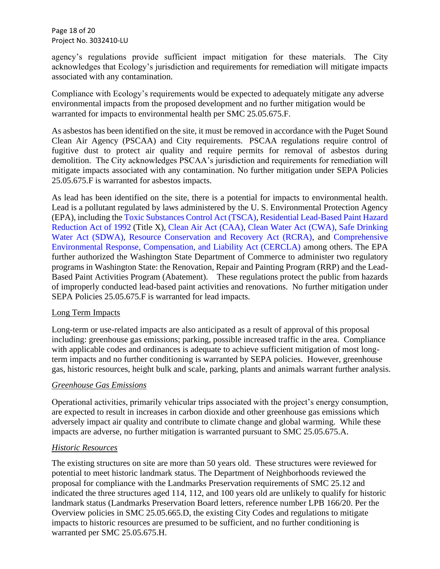Page 18 of 20 Project No. 3032410-LU

agency's regulations provide sufficient impact mitigation for these materials. The City acknowledges that Ecology's jurisdiction and requirements for remediation will mitigate impacts associated with any contamination.

Compliance with Ecology's requirements would be expected to adequately mitigate any adverse environmental impacts from the proposed development and no further mitigation would be warranted for impacts to environmental health per SMC 25.05.675.F.

As asbestos has been identified on the site, it must be removed in accordance with the Puget Sound Clean Air Agency (PSCAA) and City requirements. PSCAA regulations require control of fugitive dust to protect air quality and require permits for removal of asbestos during demolition. The City acknowledges PSCAA's jurisdiction and requirements for remediation will mitigate impacts associated with any contamination. No further mitigation under SEPA Policies 25.05.675.F is warranted for asbestos impacts.

As lead has been identified on the site, there is a potential for impacts to environmental health. Lead is a pollutant regulated by laws administered by the U. S. Environmental Protection Agency (EPA), including the [Toxic Substances Control Act \(TSCA\),](http://www.epa.gov/laws-regulations/summary-toxic-substances-control-act) [Residential Lead-Based Paint Hazard](http://portal.hud.gov/hudportal/documents/huddoc?id=DOC_12360.pdf)  [Reduction Act of 1992](http://portal.hud.gov/hudportal/documents/huddoc?id=DOC_12360.pdf) (Title X), [Clean Air Act \(CAA\),](http://www.epa.gov/laws-regulations/summary-clean-air-act) [Clean Water Act \(CWA\),](http://www.epa.gov/laws-regulations/summary-clean-water-act) [Safe Drinking](http://www.epa.gov/laws-regulations/summary-safe-drinking-water-act)  [Water Act \(SDWA\),](http://www.epa.gov/laws-regulations/summary-safe-drinking-water-act) [Resource Conservation and Recovery Act \(RCRA\),](http://www.epa.gov/laws-regulations/summary-resource-conservation-and-recovery-act) and [Comprehensive](http://www.epa.gov/laws-regulations/summary-comprehensive-environmental-response-compensation-and-liability-act)  [Environmental Response, Compensation, and Liability Act \(CERCLA\)](http://www.epa.gov/laws-regulations/summary-comprehensive-environmental-response-compensation-and-liability-act) among others. The EPA further authorized the Washington State Department of Commerce to administer two regulatory programs in Washington State: the Renovation, Repair and Painting Program (RRP) and the Lead-Based Paint Activities Program (Abatement). These regulations protect the public from hazards of improperly conducted lead-based paint activities and renovations. No further mitigation under SEPA Policies 25.05.675.F is warranted for lead impacts.

#### Long Term Impacts

Long-term or use-related impacts are also anticipated as a result of approval of this proposal including: greenhouse gas emissions; parking, possible increased traffic in the area. Compliance with applicable codes and ordinances is adequate to achieve sufficient mitigation of most longterm impacts and no further conditioning is warranted by SEPA policies. However, greenhouse gas, historic resources, height bulk and scale, parking, plants and animals warrant further analysis.

# *Greenhouse Gas Emissions*

Operational activities, primarily vehicular trips associated with the project's energy consumption, are expected to result in increases in carbon dioxide and other greenhouse gas emissions which adversely impact air quality and contribute to climate change and global warming. While these impacts are adverse, no further mitigation is warranted pursuant to SMC 25.05.675.A.

# *Historic Resources*

The existing structures on site are more than 50 years old. These structures were reviewed for potential to meet historic landmark status. The Department of Neighborhoods reviewed the proposal for compliance with the Landmarks Preservation requirements of SMC 25.12 and indicated the three structures aged 114, 112, and 100 years old are unlikely to qualify for historic landmark status (Landmarks Preservation Board letters, reference number LPB 166/20. Per the Overview policies in SMC 25.05.665.D, the existing City Codes and regulations to mitigate impacts to historic resources are presumed to be sufficient, and no further conditioning is warranted per SMC 25.05.675.H.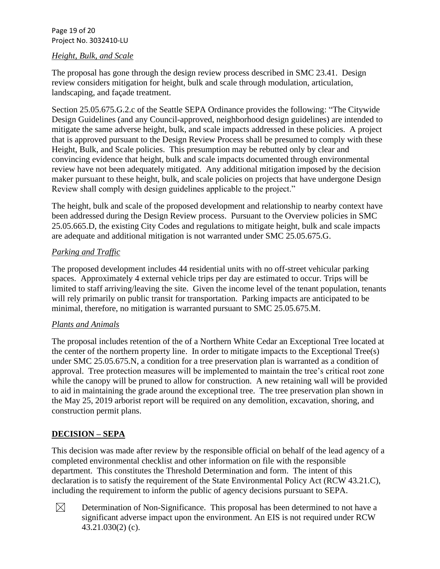Page 19 of 20 Project No. 3032410-LU

#### *Height, Bulk, and Scale*

The proposal has gone through the design review process described in SMC 23.41. Design review considers mitigation for height, bulk and scale through modulation, articulation, landscaping, and façade treatment.

Section 25.05.675.G.2.c of the Seattle SEPA Ordinance provides the following: "The Citywide Design Guidelines (and any Council-approved, neighborhood design guidelines) are intended to mitigate the same adverse height, bulk, and scale impacts addressed in these policies. A project that is approved pursuant to the Design Review Process shall be presumed to comply with these Height, Bulk, and Scale policies. This presumption may be rebutted only by clear and convincing evidence that height, bulk and scale impacts documented through environmental review have not been adequately mitigated. Any additional mitigation imposed by the decision maker pursuant to these height, bulk, and scale policies on projects that have undergone Design Review shall comply with design guidelines applicable to the project."

The height, bulk and scale of the proposed development and relationship to nearby context have been addressed during the Design Review process. Pursuant to the Overview policies in SMC 25.05.665.D, the existing City Codes and regulations to mitigate height, bulk and scale impacts are adequate and additional mitigation is not warranted under SMC 25.05.675.G.

## *Parking and Traffic*

The proposed development includes 44 residential units with no off-street vehicular parking spaces. Approximately 4 external vehicle trips per day are estimated to occur. Trips will be limited to staff arriving/leaving the site. Given the income level of the tenant population, tenants will rely primarily on public transit for transportation. Parking impacts are anticipated to be minimal, therefore, no mitigation is warranted pursuant to SMC 25.05.675.M.

#### *Plants and Animals*

The proposal includes retention of the of a Northern White Cedar an Exceptional Tree located at the center of the northern property line. In order to mitigate impacts to the Exceptional Tree(s) under SMC 25.05.675.N, a condition for a tree preservation plan is warranted as a condition of approval. Tree protection measures will be implemented to maintain the tree's critical root zone while the canopy will be pruned to allow for construction. A new retaining wall will be provided to aid in maintaining the grade around the exceptional tree. The tree preservation plan shown in the May 25, 2019 arborist report will be required on any demolition, excavation, shoring, and construction permit plans.

# **DECISION – SEPA**

This decision was made after review by the responsible official on behalf of the lead agency of a completed environmental checklist and other information on file with the responsible department. This constitutes the Threshold Determination and form. The intent of this declaration is to satisfy the requirement of the State Environmental Policy Act (RCW 43.21.C), including the requirement to inform the public of agency decisions pursuant to SEPA.



Determination of Non-Significance. This proposal has been determined to not have a significant adverse impact upon the environment. An EIS is not required under RCW 43.21.030(2) (c).